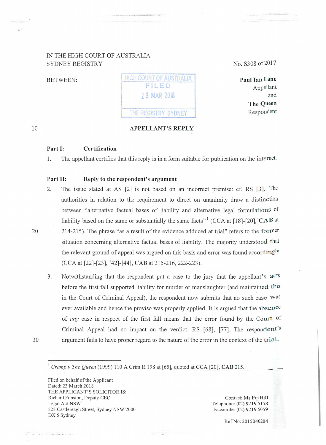## IN THE HIGH COURT OF AUSTRALIA SYDNEY REGISTRY

BETWEEN:

HIGH COURT OF AUSTRALIA FILED 2 3 MAR 2018 THE REGISTRY SYDNEY

### **APPELLANT'S REPLY**

No. S308 of 2017

**Paul Ian Lane**  Appellant and **The Queen**  Respondent

#### 10

>·

### **Part 1: Certification**

1. The appellant certifies that this reply is in a form suitable for publication on the internet.

### Part II: Reply to the respondent's argument

- 2. The issue stated at AS [2] is not based on an incorrect premise: cf. RS [3]. The authorities in relation to the requirement to direct on tmanimity draw a distinction between "alternative factual bases of liability and alternative legal formulations of liability based on the same or substantially the same facts<sup>"1</sup> (CCA at [18]-[20], **CAB** at 20 214-215). The phrase "as a result of the evidence adduced at trial" refers to the fonner situation concerning alternative factual bases of liability. The majority understood that the relevant ground of appeal was argued on this basis and error was found accordingly (CCA at [22]-[23], [42]-[44], **CAB** at 215-216, 222-223).
- 3. Notwithstanding that the respondent put a case to the jury that the appellant's acts before the first fall supported liability for murder or manslaughter (and maintained this in the Court of Criminal Appeal), the respondent now submits that no such case was ever available and hence the proviso was properly applied. It is argued that the absence of *any* case in respect of the first fall means that the error found by the Court of Criminal Appeal had no impact on the verdict: RS [68], [77]. The respondent's 30 argument fails to have proper regard to the nature of the error in the context of the **trial.**
- 

# <sup>1</sup>*Cramp v The Queen* (1999) 110 A Crim R 198 at [65], quoted at CCA [20], **CAB** 215.

Filed on behalf of the Applicant Dated: 23 March 2018 THE APPLICANT'S SOLICITOR IS: Richard Funston, Deputy CEO Legal Aid NSW 323 Castlereagh Street, Sydney NSW 2000 DX 5 Sydney

Contact: Ms Pip Hill Telephone: (02) 9219 5158 Facsimile: (02) 9219 5059

RefNo: 2015040204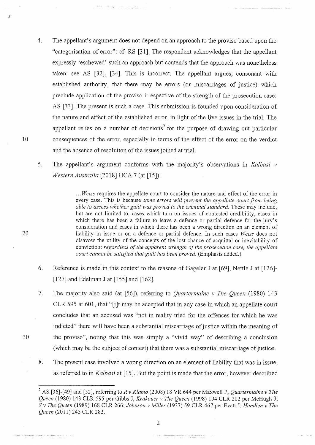- 4. The appellant's argument does not depend on an approach to the proviso based upon the "categorisation of error": cf. RS [31]. The respondent acknowledges that the appellant expressly 'eschewed' such an approach but contends that the approach was nonetheless taken: see AS [32], [34]. This is incorrect. The appellant argues, consonant with established authority, that there may be errors (or miscarriages of justice) which preclude application of the proviso irrespective of the strength of the prosecution case: AS [33]. The present is such a case. This submission is founded upon consideration of the nature and effect of the established error, in light of the live issues in the trial. The appellant relies on a number of decisions<sup>2</sup> for the purpose of drawing out particular 10 consequences of the error, especially in terms of the effect of the error on the verdict and the absence of resolution of the issues joined at trial.
	- 5. The appellant's argument conforms with the majority's observations in *Kalbasi v Western Australia* [2018] HCA 7 (at [15]):

... Weiss requires the appellate court to consider the nature and effect of the error in every case. This is because *some errors will prevent the appellate court from being able to assess whether guilt was proved to the criminal standard.* These may include, but are not limited to, cases which turn on issues of contested credibility, cases in which there has been a failure to leave a defence or partial defence for the jury's consideration and cases in which there has been a wrong direction on an element of liability in issue or on a defence or patiial defence. In such cases *Weiss* does not disavow the utility of the concepts of the lost chance of acquittal or inevitability of conviction: *regardless of the apparent strength of the prosecution case, the appellate court cannot be satisfied that guilt has been proved.* (Emphasis added.)

- 6. Reference is made in this context to the reasons of Gageler J at [69], Nettle J at [126]- [127] and Edelman J at [155] and [162].
- 7. The majority also said (at [56]), referring to *Quartermaine v The Queen* (1980) 143 CLR 595 at 601, that "[i]t may be accepted that in any case in which an appellate court concludes that an accused was "not in reality tried for the offences for which he was indicted" there will have been a substantial miscarriage of justice within the meaning of 30 the proviso", noting that this was simply a "vivid way" of describing a conclusion (which may be the subject of contest) that there was a substantial miscarriage of justice.
	- 8. The present case involved a wrong direction on an element of liability that was in issue, as referred to in *Kalbasi* at [15]. But the point is made that the error, however described

2

an<sup>d</sup>en canonisar i communauta a c

20

À

 $\alpha$  and the distribution of the sequence of the sequence of the sequence of  $\alpha$  , and  $\alpha$  , and  $\alpha$ 

<sup>&</sup>lt;sup>2</sup> AS [36]-[49] and [52], referring to R v Klamo (2008) 18 VR 644 per Maxwell P, *Quartermaine v The Queen* (1980) 143 CLR 595 per Gibbs J, *Krakouer v The Queen* (1998) 194 CLR 202 per McHugh J; *S v The Queen* (1989) 168 CLR 266; *Johnson v Miller* (1937) 59 CLR 467 per Evatt J; *Handlen v The Queen* (2011) 245 CLR 282.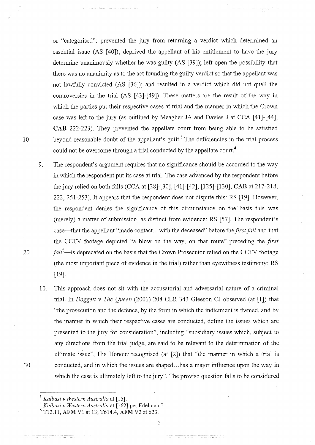or "categorised": prevented the jury from returning a verdict which determined an essential issue (AS [40]); deprived the appellant of his entitlement to have the jury determine unanimously whether he was guilty (AS [39]); left open the possibility that there was no unanimity as to the act founding the guilty verdict so that the appellant was not lawfully convicted (AS [36]); and resulted in a verdict which did not quell the controversies in the trial (AS [43]-[49]). These matters are the result of the way in which the parties put their respective cases at trial and the manner in which the Crown case was left to the jury (as outlined by Meagher JA and Davies J at CCA [41]-[44], **CAB** 222-223). They prevented the appellate court from being able to be satisfied 10 beyond reasonable doubt of the appellant's guilt.<sup>3</sup> The deficiencies in the trial process could not be overcome through a trial conducted by the appellate court.<sup>4</sup>

- 9. The respondent's argument requires that no significance should be accorded to the way in which the respondent put its case at trial. The case advanced by the respondent before the jury relied on both falls (CCA at [28]-[30], [41]-[42], [125]-[130], **CAB** at 217-218, 222, 251-253). It appears that the respondent does not dispute this: RS [19]. However, the respondent denies the significance of this circumstance on the basis this was (merely) a matter of submission, as distinct from evidence: RS [57]. The respondent's case-that the appellant "made contact ... with the deceased" before the *first fall* and that the CCTV footage depicted "a blow on the way, on that route" preceding the *first*  20 *fall<sup>5</sup> -is* deprecated on the basis that the Crown Prosecutor relied on the CCTV footage (the most important piece of evidence in the trial) rather than eyewitness testimony: RS [19].
- 10. This approach does not sit with the accusatorial and adversarial nature of a criminal trial. In *Doggett v The Queen* (2001) 208 CLR 343 Gleeson CJ observed (at [1]) that "the prosecution and the defence, by the form in which the indictment is framed, and by the mmmer in which their respective cases are conducted, define the issues which are presented to the jury for consideration", including "subsidiary issues which, subject to any directions from the trial judge, are said to be relevant to the determination of the ultimate issue", His Honour recognised (at [2]) that "the manner in which a trial is 30 conducted, and in which the issues are shaped ... has a major influence upon the way in which the case is ultimately left to the jury". The proviso question falls to be considered

3

nia<br>Alemania – matematika – matematika

<sup>3</sup>*Kalbasi v Western Australia* at [15]. 4 *Kalbasi v Western Australia* at [162] per Edelman J. 5 T12.11, **AFM** V1 at 13; T614.4, **AFM** V2 at 623.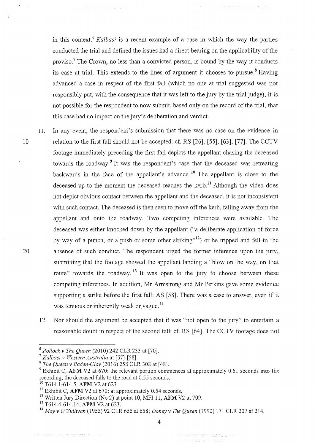in this context. 6 *Kalbasi* is a recent example of a case in which the way the parties conducted the trial and defined the issues had a direct bearing on the applicability of the proviso.<sup>7</sup> The Crown, no less than a convicted person, is bound by the way it conducts its case at trial. This extends to the lines of argument it chooses to pursue.<sup>8</sup> Having advanced a case in respect of the first fall (which no one at trial suggested was not responsibly put, with the consequence that it was left to the jury by the trial judge), it is not possible for the respondent to now submit, based only on the record of the trial, that this case had no impact on the jury's deliberation and verdict.

11. In any event, the respondent's submission that there was no case on the evidence in 10 relation to the first fall should not be accepted: cf. RS [26], [55], [63], [77]. The CCTV footage immediately preceding the first fall depicts the appellant chasing the deceased towards the roadway.<sup>9</sup> It was the respondent's case that the deceased was retreating backwards in the face of the appellant's advance.<sup>10</sup> The appellant is close to the deceased up to the moment the deceased reaches the kerb.<sup>11</sup> Although the video does not depict obvious contact between the appellant and the deceased, it is not inconsistent with such contact. The deceased is then seen to move off the kerb, falling away from the appellant and onto the roadway. Two competing inferences were available. The deceased was either knocked down by the appellant ("a deliberate application of force by way of a punch, or a push or some other striking"<sup>12</sup>) or he tripped and fell in the 20 absence of such conduct. The respondent urged the former inference upon the jury, submitting that the footage showed the appellant landing a "blow on the way, on that route" towards the roadway.<sup>13</sup> It was open to the jury to choose between these competing inferences. In addition, Mr Armstrong and Mr Perkins gave some evidence supporting a strike before the first fall: AS [58]. There was a case to answer, even if it was tenuous or inherently weak or vague.<sup>14</sup>

12. Nor should the argument be accepted that it was "not open to the jury" to entertain a reasonable doubt in respect of the second fall: cf. RS [64]. The CCTV footage does not

 $\label{eq:3} \begin{split} \textbf{w} & = \text{minimize} & \text{minimize} \; \mathbf{w} \; \text{ where } \; \mathbf{w} = \text{minimize} \; \mathbf{w} \; \text{ and } \; \mathbf{w} = \text{minimize} \; \mathbf{w} \; \text{ and } \; \mathbf{w} = \text{minimize} \; \mathbf{w} \; \text{ and } \; \mathbf{w} = \text{minimize} \; \mathbf{w} \; \text{ and } \; \mathbf{w} = \text{minimize} \; \mathbf{w} \; \text{ and } \; \mathbf{w} = \text{minimize} \; \mathbf{w$ 

4

<sup>6</sup>*Pollock v The Queen* (2010) 242 CLR 233 at [70]. 7 *Kalbasi v Western Australia* at [57]-[58]. 8 . *The Queen v Baden-Clay* (2016) 258 CLR 308 at [48].

<sup>&</sup>lt;sup>9</sup> Exhibit C, AFM V2 at 670: the relevant portion commences at approximately 0.51 seconds into the recording; the deceased falls to the road at 0.55 seconds.<br><sup>10</sup> T614.1-614.5, **AFM** V2 at 623.

<sup>&</sup>lt;sup>11</sup> Exhibit C, AFM V2 at 670: at approximately 0.54 seconds.

<sup>12</sup> Written Jury Direction (No 2) at point 10, MFI 11, **AFM** V2 at 709. 13 T614.4-614.14, **AFM** V2 at 623.

<sup>14</sup>*May v* 0 *'Sullivan* (1955) 92 CLR 655 at 658; *Doney v The Queen* (1990) 171 CLR 207 at 214.